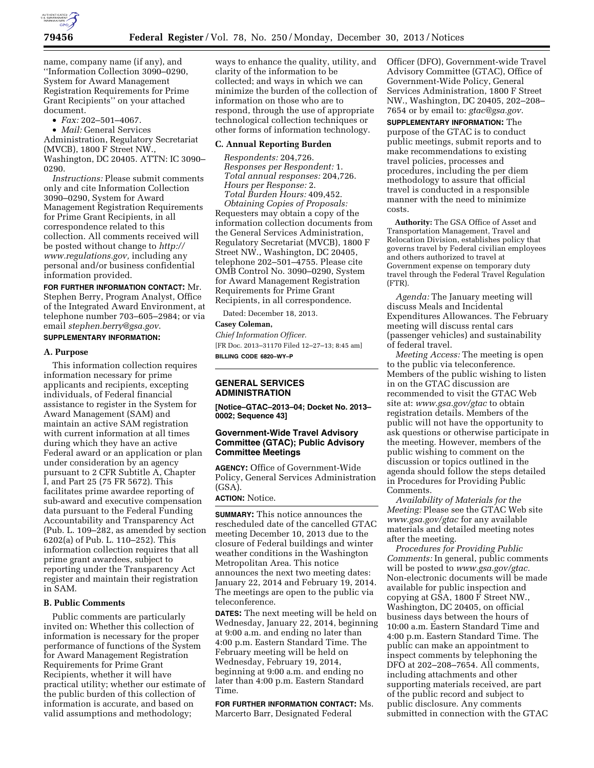

name, company name (if any), and ''Information Collection 3090–0290, System for Award Management Registration Requirements for Prime Grant Recipients'' on your attached document.

• *Fax:* 202–501–4067.

• *Mail:* General Services Administration, Regulatory Secretariat (MVCB), 1800 F Street NW., Washington, DC 20405. ATTN: IC 3090– 0290.

*Instructions:* Please submit comments only and cite Information Collection 3090–0290, System for Award Management Registration Requirements for Prime Grant Recipients, in all correspondence related to this collection. All comments received will be posted without change to *[http://](http://www.regulations.gov) [www.regulations.gov,](http://www.regulations.gov)* including any personal and/or business confidential information provided.

**FOR FURTHER INFORMATION CONTACT:** Mr. Stephen Berry, Program Analyst, Office of the Integrated Award Environment, at telephone number 703–605–2984; or via email *[stephen.berry@gsa.gov](mailto:stephen.berry@gsa.gov)*. **SUPPLEMENTARY INFORMATION:** 

# **A. Purpose**

This information collection requires information necessary for prime applicants and recipients, excepting individuals, of Federal financial assistance to register in the System for Award Management (SAM) and maintain an active SAM registration with current information at all times during which they have an active Federal award or an application or plan under consideration by an agency pursuant to 2 CFR Subtitle A, Chapter I, and Part 25 (75 FR 5672). This facilitates prime awardee reporting of sub-award and executive compensation data pursuant to the Federal Funding Accountability and Transparency Act (Pub. L. 109–282, as amended by section 6202(a) of Pub. L. 110–252). This information collection requires that all prime grant awardees, subject to reporting under the Transparency Act register and maintain their registration in SAM.

## **B. Public Comments**

Public comments are particularly invited on: Whether this collection of information is necessary for the proper performance of functions of the System for Award Management Registration Requirements for Prime Grant Recipients, whether it will have practical utility; whether our estimate of the public burden of this collection of information is accurate, and based on valid assumptions and methodology;

ways to enhance the quality, utility, and clarity of the information to be collected; and ways in which we can minimize the burden of the collection of information on those who are to respond, through the use of appropriate technological collection techniques or other forms of information technology.

#### **C. Annual Reporting Burden**

*Respondents:* 204,726. *Responses per Respondent:* 1. *Total annual responses:* 204,726. *Hours per Response:* 2. *Total Burden Hours:* 409,452. *Obtaining Copies of Proposals:*  Requesters may obtain a copy of the information collection documents from the General Services Administration, Regulatory Secretariat (MVCB), 1800 F Street NW., Washington, DC 20405, telephone 202–501–4755. Please cite OMB Control No. 3090–0290, System for Award Management Registration Requirements for Prime Grant Recipients, in all correspondence.

Dated: December 18, 2013.

## **Casey Coleman,**

*Chief Information Officer.*  [FR Doc. 2013–31170 Filed 12–27–13; 8:45 am] **BILLING CODE 6820–WY–P** 

## **GENERAL SERVICES ADMINISTRATION**

**[Notice–GTAC–2013–04; Docket No. 2013– 0002; Sequence 43]** 

## **Government-Wide Travel Advisory Committee (GTAC); Public Advisory Committee Meetings**

**AGENCY:** Office of Government-Wide Policy, General Services Administration (GSA).

## **ACTION:** Notice.

**SUMMARY:** This notice announces the rescheduled date of the cancelled GTAC meeting December 10, 2013 due to the closure of Federal buildings and winter weather conditions in the Washington Metropolitan Area. This notice announces the next two meeting dates: January 22, 2014 and February 19, 2014. The meetings are open to the public via teleconference.

**DATES:** The next meeting will be held on Wednesday, January 22, 2014, beginning at 9:00 a.m. and ending no later than 4:00 p.m. Eastern Standard Time. The February meeting will be held on Wednesday, February 19, 2014, beginning at 9:00 a.m. and ending no later than 4:00 p.m. Eastern Standard Time.

**FOR FURTHER INFORMATION CONTACT:** Ms. Marcerto Barr, Designated Federal

Officer (DFO), Government-wide Travel Advisory Committee (GTAC), Office of Government-Wide Policy, General Services Administration, 1800 F Street NW., Washington, DC 20405, 202–208– 7654 or by email to: *[gtac@gsa.gov.](mailto:gtac@gsa.gov)* 

**SUPPLEMENTARY INFORMATION:** The purpose of the GTAC is to conduct public meetings, submit reports and to make recommendations to existing travel policies, processes and procedures, including the per diem methodology to assure that official travel is conducted in a responsible manner with the need to minimize costs.

**Authority:** The GSA Office of Asset and Transportation Management, Travel and Relocation Division, establishes policy that governs travel by Federal civilian employees and others authorized to travel at Government expense on temporary duty travel through the Federal Travel Regulation (FTR).

*Agenda:* The January meeting will discuss Meals and Incidental Expenditures Allowances. The February meeting will discuss rental cars (passenger vehicles) and sustainability of federal travel.

*Meeting Access:* The meeting is open to the public via teleconference. Members of the public wishing to listen in on the GTAC discussion are recommended to visit the GTAC Web site at: *[www.gsa.gov/gtac](http://www.gsa.gov/gtac)* to obtain registration details. Members of the public will not have the opportunity to ask questions or otherwise participate in the meeting. However, members of the public wishing to comment on the discussion or topics outlined in the agenda should follow the steps detailed in Procedures for Providing Public Comments.

*Availability of Materials for the Meeting:* Please see the GTAC Web site *[www.gsa.gov/gtac](http://www.gsa.gov/gtac)* for any available materials and detailed meeting notes after the meeting.

*Procedures for Providing Public Comments:* In general, public comments will be posted to *[www.gsa.gov/gtac.](http://www.gsa.gov/gtac)*  Non-electronic documents will be made available for public inspection and copying at GSA, 1800 F Street NW., Washington, DC 20405, on official business days between the hours of 10:00 a.m. Eastern Standard Time and 4:00 p.m. Eastern Standard Time. The public can make an appointment to inspect comments by telephoning the DFO at 202–208–7654. All comments, including attachments and other supporting materials received, are part of the public record and subject to public disclosure. Any comments submitted in connection with the GTAC